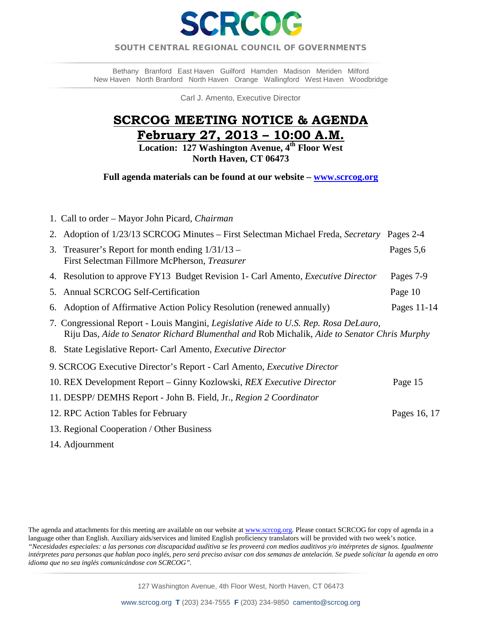

## SOUTH CENTRAL REGIONAL COUNCIL OF GOVERNMENTS  $\overline{a}$

Bethany Branford East Haven Guilford Hamden Madison Meriden Milford New Haven North Branford North Haven Orange Wallingford West Haven Woodbridge

Carl J. Amento, Executive Director

# **SCRCOG MEETING NOTICE & AGENDA February 27, 2013 – 10:00 A.M.**

**Location: 127 Washington Avenue, 4th Floor West North Haven, CT 06473** 

**Full agenda materials can be found at our website – [www.scrcog.org](http://www.scrcog.org/)** 

| 1. Call to order – Mayor John Picard, Chairman                                                                                                                                      |              |  |  |
|-------------------------------------------------------------------------------------------------------------------------------------------------------------------------------------|--------------|--|--|
| 2. Adoption of 1/23/13 SCRCOG Minutes – First Selectman Michael Freda, Secretary                                                                                                    | Pages 2-4    |  |  |
| Treasurer's Report for month ending $1/31/13$ –<br>3.<br>First Selectman Fillmore McPherson, Treasurer                                                                              | Pages 5,6    |  |  |
| 4. Resolution to approve FY13 Budget Revision 1- Carl Amento, <i>Executive Director</i>                                                                                             | Pages 7-9    |  |  |
| 5. Annual SCRCOG Self-Certification                                                                                                                                                 | Page 10      |  |  |
| Adoption of Affirmative Action Policy Resolution (renewed annually)<br>6.                                                                                                           | Pages 11-14  |  |  |
| 7. Congressional Report - Louis Mangini, Legislative Aide to U.S. Rep. Rosa DeLauro,<br>Riju Das, Aide to Senator Richard Blumenthal and Rob Michalik, Aide to Senator Chris Murphy |              |  |  |
| 8. State Legislative Report- Carl Amento, <i>Executive Director</i>                                                                                                                 |              |  |  |
| 9. SCRCOG Executive Director's Report - Carl Amento, <i>Executive Director</i>                                                                                                      |              |  |  |
| 10. REX Development Report – Ginny Kozlowski, <i>REX Executive Director</i>                                                                                                         | Page 15      |  |  |
| 11. DESPP/DEMHS Report - John B. Field, Jr., Region 2 Coordinator                                                                                                                   |              |  |  |
| 12. RPC Action Tables for February                                                                                                                                                  | Pages 16, 17 |  |  |
| 13. Regional Cooperation / Other Business                                                                                                                                           |              |  |  |

14. Adjournment

The agenda and attachments for this meeting are available on our website a[t www.scrcog.org.](http://www.scrcog.org/) Please contact SCRCOG for copy of agenda in a language other than English. Auxiliary aids/services and limited English proficiency translators will be provided with two week's notice. *"Necesidades especiales: a las personas con discapacidad auditiva se les proveerá con medios auditivos y/o intérpretes de signos. Igualmente intérpretes para personas que hablan poco inglés, pero será preciso avisar con dos semanas de antelación. Se puede solicitar la agenda en otro idioma que no sea inglés comunicándose con SCRCOG".*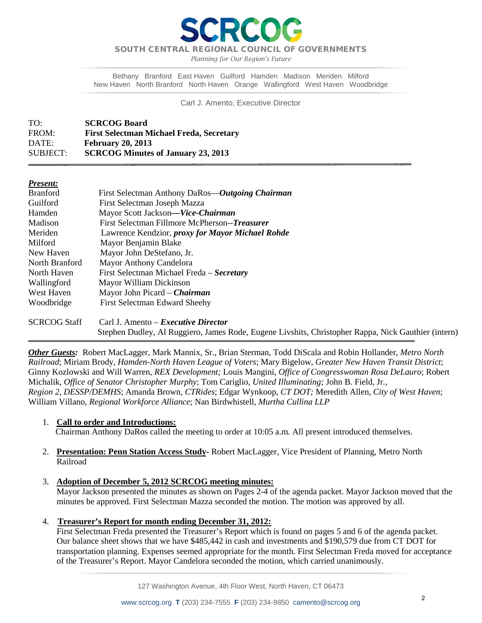

*Planning for Our Region's Future*

Bethany Branford East Haven Guilford Hamden Madison Meriden Milford New Haven North Branford North Haven Orange Wallingford West Haven Woodbridge

Carl J. Amento, Executive Director

| TO:      | <b>SCRCOG Board</b>                             |
|----------|-------------------------------------------------|
| FROM:    | <b>First Selectman Michael Freda, Secretary</b> |
| DATE:    | <b>February 20, 2013</b>                        |
| SUBJECT: | <b>SCRCOG Minutes of January 23, 2013</b>       |

| resent: |  |
|---------|--|
|         |  |

 $\overline{\phantom{a}}$ 

| <b>Branford</b>     | First Selectman Anthony DaRos—Outgoing Chairman                                                     |
|---------------------|-----------------------------------------------------------------------------------------------------|
| Guilford            | First Selectman Joseph Mazza                                                                        |
| Hamden              | Mayor Scott Jackson—Vice-Chairman                                                                   |
| Madison             | First Selectman Fillmore McPherson--Treasurer                                                       |
| Meriden             | Lawrence Kendzior, <i>proxy for Mayor Michael Rohde</i>                                             |
| Milford             | Mayor Benjamin Blake                                                                                |
| New Haven           | Mayor John DeStefano, Jr.                                                                           |
| North Branford      | Mayor Anthony Candelora                                                                             |
| North Haven         | First Selectman Michael Freda – Secretary                                                           |
| Wallingford         | Mayor William Dickinson                                                                             |
| West Haven          | Mayor John Picard – <i>Chairman</i>                                                                 |
| Woodbridge          | <b>First Selectman Edward Sheehy</b>                                                                |
| <b>SCRCOG Staff</b> | Carl J. Amento – <i>Executive Director</i>                                                          |
|                     | Stephen Dudley, Al Ruggiero, James Rode, Eugene Livshits, Christopher Rappa, Nick Gauthier (intern) |

*Other Guests:* Robert MacLagger, Mark Mannix, Sr., Brian Sterman, Todd DiScala and Robin Hollander, *Metro North Railroad*; Miriam Brody, *Hamden-North Haven League of Voters*; Mary Bigelow, *Greater New Haven Transit District*; Ginny Kozlowski and Will Warren, *REX Development;* Louis Mangini, *Office of Congresswoman Rosa DeLauro*; Robert Michalik, *Office of Senator Christopher Murphy*; Tom Cariglio, *United Illuminating;* John B. Field, Jr*., Region 2, DESSP/DEMHS*; Amanda Brown, *CTRides*; Edgar Wynkoop, *CT DOT;* Meredith Allen*, City of West Haven*; William Villano, *Regional Workforce Alliance*; Nan Birdwhistell, *Murtha Cullina LLP*

### 1. **Call to order and Introductions:**

Chairman Anthony DaRos called the meeting to order at 10:05 a.m. All present introduced themselves.

- 2. **Presentation: Penn Station Access Study-** Robert MacLagger, Vice President of Planning, Metro North Railroad
- 3. **Adoption of December 5, 2012 SCRCOG meeting minutes:**

Mayor Jackson presented the minutes as shown on Pages 2-4 of the agenda packet. Mayor Jackson moved that the minutes be approved. First Selectman Mazza seconded the motion. The motion was approved by all.

4. **Treasurer's Report for month ending December 31, 2012:** 

First Selectman Freda presented the Treasurer's Report which is found on pages 5 and 6 of the agenda packet. Our balance sheet shows that we have \$485,442 in cash and investments and \$190,579 due from CT DOT for transportation planning. Expenses seemed appropriate for the month. First Selectman Freda moved for acceptance of the Treasurer's Report. Mayor Candelora seconded the motion, which carried unanimously.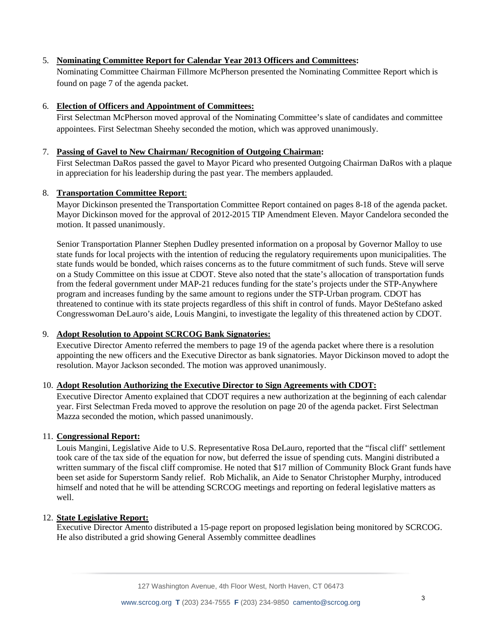## 5. **Nominating Committee Report for Calendar Year 2013 Officers and Committees:**

Nominating Committee Chairman Fillmore McPherson presented the Nominating Committee Report which is found on page 7 of the agenda packet.

## 6. **Election of Officers and Appointment of Committees:**

First Selectman McPherson moved approval of the Nominating Committee's slate of candidates and committee appointees. First Selectman Sheehy seconded the motion, which was approved unanimously.

### 7. **Passing of Gavel to New Chairman/ Recognition of Outgoing Chairman:**

First Selectman DaRos passed the gavel to Mayor Picard who presented Outgoing Chairman DaRos with a plaque in appreciation for his leadership during the past year. The members applauded.

### 8. **Transportation Committee Report**:

Mayor Dickinson presented the Transportation Committee Report contained on pages 8-18 of the agenda packet. Mayor Dickinson moved for the approval of 2012-2015 TIP Amendment Eleven. Mayor Candelora seconded the motion. It passed unanimously.

Senior Transportation Planner Stephen Dudley presented information on a proposal by Governor Malloy to use state funds for local projects with the intention of reducing the regulatory requirements upon municipalities. The state funds would be bonded, which raises concerns as to the future commitment of such funds. Steve will serve on a Study Committee on this issue at CDOT. Steve also noted that the state's allocation of transportation funds from the federal government under MAP-21 reduces funding for the state's projects under the STP-Anywhere program and increases funding by the same amount to regions under the STP-Urban program. CDOT has threatened to continue with its state projects regardless of this shift in control of funds. Mayor DeStefano asked Congresswoman DeLauro's aide, Louis Mangini, to investigate the legality of this threatened action by CDOT.

### 9. **Adopt Resolution to Appoint SCRCOG Bank Signatories:**

Executive Director Amento referred the members to page 19 of the agenda packet where there is a resolution appointing the new officers and the Executive Director as bank signatories. Mayor Dickinson moved to adopt the resolution. Mayor Jackson seconded. The motion was approved unanimously.

### 10. **Adopt Resolution Authorizing the Executive Director to Sign Agreements with CDOT:**

Executive Director Amento explained that CDOT requires a new authorization at the beginning of each calendar year. First Selectman Freda moved to approve the resolution on page 20 of the agenda packet. First Selectman Mazza seconded the motion, which passed unanimously.

### 11. **Congressional Report:**

Louis Mangini, Legislative Aide to U.S. Representative Rosa DeLauro, reported that the "fiscal cliff' settlement took care of the tax side of the equation for now, but deferred the issue of spending cuts. Mangini distributed a written summary of the fiscal cliff compromise. He noted that \$17 million of Community Block Grant funds have been set aside for Superstorm Sandy relief. Rob Michalik, an Aide to Senator Christopher Murphy, introduced himself and noted that he will be attending SCRCOG meetings and reporting on federal legislative matters as well.

### 12. **State Legislative Report:**

Executive Director Amento distributed a 15-page report on proposed legislation being monitored by SCRCOG. He also distributed a grid showing General Assembly committee deadlines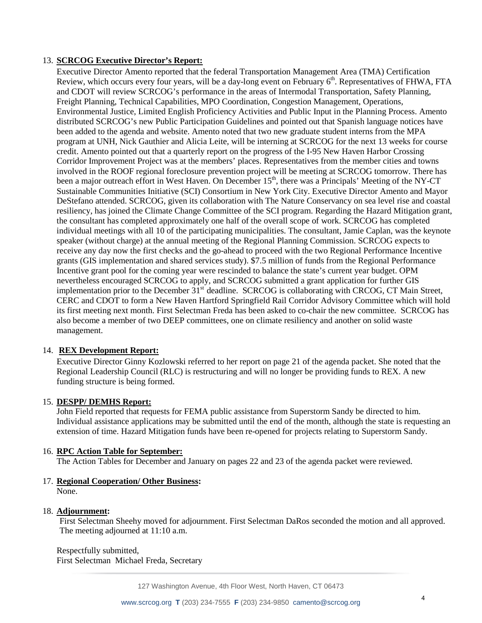## 13. **SCRCOG Executive Director's Report:**

Executive Director Amento reported that the federal Transportation Management Area (TMA) Certification Review, which occurs every four years, will be a day-long event on February 6<sup>th</sup>. Representatives of FHWA, FTA and CDOT will review SCRCOG's performance in the areas of Intermodal Transportation, Safety Planning, Freight Planning, Technical Capabilities, MPO Coordination, Congestion Management, Operations, Environmental Justice, Limited English Proficiency Activities and Public Input in the Planning Process. Amento distributed SCRCOG's new Public Participation Guidelines and pointed out that Spanish language notices have been added to the agenda and website. Amento noted that two new graduate student interns from the MPA program at UNH, Nick Gauthier and Alicia Leite, will be interning at SCRCOG for the next 13 weeks for course credit. Amento pointed out that a quarterly report on the progress of the I-95 New Haven Harbor Crossing Corridor Improvement Project was at the members' places. Representatives from the member cities and towns involved in the ROOF regional foreclosure prevention project will be meeting at SCRCOG tomorrow. There has been a major outreach effort in West Haven. On December 15<sup>th</sup>, there was a Principals' Meeting of the NY-CT Sustainable Communities Initiative (SCI) Consortium in New York City. Executive Director Amento and Mayor DeStefano attended. SCRCOG, given its collaboration with The Nature Conservancy on sea level rise and coastal resiliency, has joined the Climate Change Committee of the SCI program. Regarding the Hazard Mitigation grant, the consultant has completed approximately one half of the overall scope of work. SCRCOG has completed individual meetings with all 10 of the participating municipalities. The consultant, Jamie Caplan, was the keynote speaker (without charge) at the annual meeting of the Regional Planning Commission. SCRCOG expects to receive any day now the first checks and the go-ahead to proceed with the two Regional Performance Incentive grants (GIS implementation and shared services study). \$7.5 million of funds from the Regional Performance Incentive grant pool for the coming year were rescinded to balance the state's current year budget. OPM nevertheless encouraged SCRCOG to apply, and SCRCOG submitted a grant application for further GIS implementation prior to the December  $31^{st}$  deadline. SCRCOG is collaborating with CRCOG, CT Main Street, CERC and CDOT to form a New Haven Hartford Springfield Rail Corridor Advisory Committee which will hold its first meeting next month. First Selectman Freda has been asked to co-chair the new committee. SCRCOG has also become a member of two DEEP committees, one on climate resiliency and another on solid waste management.

### 14. **REX Development Report:**

Executive Director Ginny Kozlowski referred to her report on page 21 of the agenda packet. She noted that the Regional Leadership Council (RLC) is restructuring and will no longer be providing funds to REX. A new funding structure is being formed.

### 15. **DESPP/ DEMHS Report:**

John Field reported that requests for FEMA public assistance from Superstorm Sandy be directed to him. Individual assistance applications may be submitted until the end of the month, although the state is requesting an extension of time. Hazard Mitigation funds have been re-opened for projects relating to Superstorm Sandy.

### 16. **RPC Action Table for September:**

The Action Tables for December and January on pages 22 and 23 of the agenda packet were reviewed.

### 17. **Regional Cooperation/ Other Business:**

None.

### 18. **Adjournment:**

First Selectman Sheehy moved for adjournment. First Selectman DaRos seconded the motion and all approved. The meeting adjourned at 11:10 a.m.

Respectfully submitted, First Selectman Michael Freda, Secretary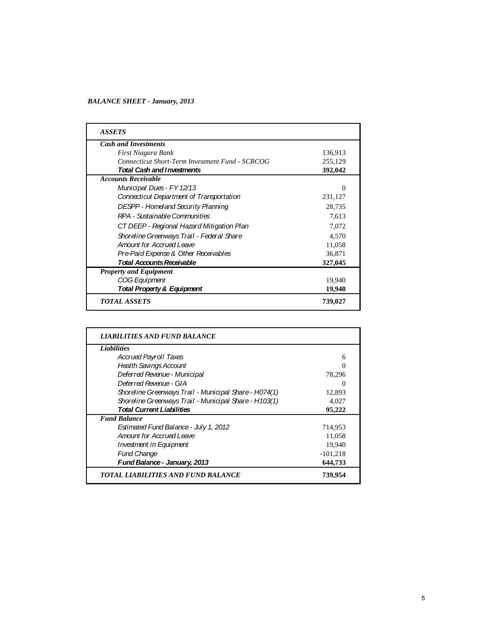#### *BALANCE SHEET - January, 2013*

| <b>Cash and Investments</b>                            |         |
|--------------------------------------------------------|---------|
| First Niagara Bank                                     | 136,913 |
| <b>Connecticut Short-Term Investment Fund - SCRCOG</b> | 255,129 |
| <b>Total Cash and Investments</b>                      | 392,042 |
| <b>Accounts Receivable</b>                             |         |
| Municipal Dues - FY 12/13                              | 0       |
| Connecticut Department of Transportation               | 231,127 |
| <b>DESPP - Homeland Security Planning</b>              | 28,735  |
| RPA - Sustainable Communities                          | 7,613   |
| CT DEEP - Regional Hazard Mitigation Plan              | 7,072   |
| Shoreline Greenways Trail - Federal Share              | 4.570   |
| Amount for Accrued Leave                               | 11,058  |
| Pre-Paid Expense & Other Receivables                   | 36,871  |
| Total Accounts Receivable                              | 327,045 |
| <b>Property and Equipment</b>                          |         |
| COG Equipment                                          | 19,940  |
| Total Property & Equipment                             | 19,940  |

| <b>Liabilities</b>                                    |            |
|-------------------------------------------------------|------------|
| <b>Accrued Payroll Taxes</b>                          | 6          |
| <b>Health Savings Account</b>                         | 0          |
| Deferred Revenue - Municipal                          | 78,296     |
| Deferred Revenue - GIA                                | $\theta$   |
| Shoreline Greenways Trail - Municipal Share - H074(1) | 12,893     |
| Shoreline Greenways Trail - Municipal Share - H103(1) | 4,027      |
| <b>Total Current Liabilities</b>                      | 95,222     |
| <b>Fund Balance</b>                                   |            |
| Estimated Fund Balance - July 1, 2012                 | 714,953    |
| <b>Amount for Accrued Leave</b>                       | 11,058     |
| <b>Investment in Equipment</b>                        | 19,940     |
| <b>Fund Change</b>                                    | $-101,218$ |
| Fund Balance - January, 2013                          | 644,733    |
| TOTAL LIABILITIES AND FUND BALANCE                    | 739,954    |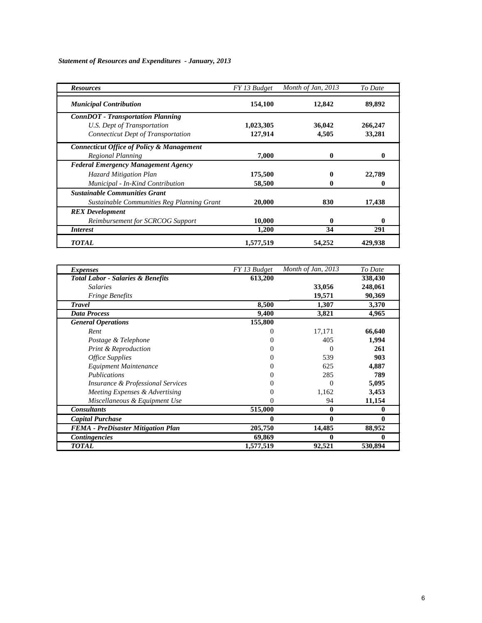*Statement of Resources and Expenditures - January, 2013*

| <b>Resources</b>                                     | FY 13 Budget | Month of Jan, 2013 | To Date |
|------------------------------------------------------|--------------|--------------------|---------|
| <b>Municipal Contribution</b>                        | 154,100      | 12,842             | 89,892  |
| <b>ConnDOT</b> - Transportation Planning             |              |                    |         |
| U.S. Dept of Transportation                          | 1,023,305    | 36,042             | 266,247 |
| <b>Connecticut Dept of Transportation</b>            | 127,914      | 4,505              | 33,281  |
| <b>Connecticut Office of Policy &amp; Management</b> |              |                    |         |
| Regional Planning                                    | 7,000        | 0                  |         |
| <b>Federal Emergency Management Agency</b>           |              |                    |         |
| Hazard Mitigation Plan                               | 175,500      | 0                  | 22,789  |
| Municipal - In-Kind Contribution                     | 58,500       | 0                  | 0       |
| <b>Sustainable Communities Grant</b>                 |              |                    |         |
| Sustainable Communities Reg Planning Grant           | 20,000       | 830                | 17,438  |
| <b>REX</b> Development                               |              |                    |         |
| Reimbursement for SCRCOG Support                     | 10,000       | 0                  | 0       |
| <i>Interest</i>                                      | 1,200        | 34                 | 291     |
| <b>TOTAL</b>                                         | 1,577,519    | 54,252             | 429,938 |

| <i>Expenses</i>                              | FY 13 Budget | Month of Jan, 2013 | To Date |
|----------------------------------------------|--------------|--------------------|---------|
| <b>Total Labor - Salaries &amp; Benefits</b> | 613,200      |                    | 338,430 |
| <b>Salaries</b>                              |              | 33,056             | 248,061 |
| <b>Fringe Benefits</b>                       |              | 19,571             | 90,369  |
| <b>Travel</b>                                | 8,500        | 1,307              | 3,370   |
| <b>Data Process</b>                          | 9,400        | 3,821              | 4,965   |
| <b>General Operations</b>                    | 155,800      |                    |         |
| Rent                                         |              | 17,171             | 66,640  |
| Postage & Telephone                          |              | 405                | 1,994   |
| <b>Print &amp; Reproduction</b>              |              | 0                  | 261     |
| <b>Office Supplies</b>                       |              | 539                | 903     |
| Equipment Maintenance                        | 0            | 625                | 4,887   |
| Publications                                 |              | 285                | 789     |
| <i>Insurance &amp; Professional Services</i> |              | 0                  | 5,095   |
| Meeting Expenses & Advertising               |              | 1,162              | 3,453   |
| Miscellaneous & Equipment Use                | 0            | 94                 | 11,154  |
| <b>Consultants</b>                           | 515,000      | 0                  | 0       |
| <b>Capital Purchase</b>                      | 0            | 0                  | 0       |
| <b>FEMA</b> - PreDisaster Mitigation Plan    | 205,750      | 14,485             | 88,952  |
| <b>Contingencies</b>                         | 69,869       | 0                  |         |
| <b>TOTAL</b>                                 | 1,577,519    | 92,521             | 530,894 |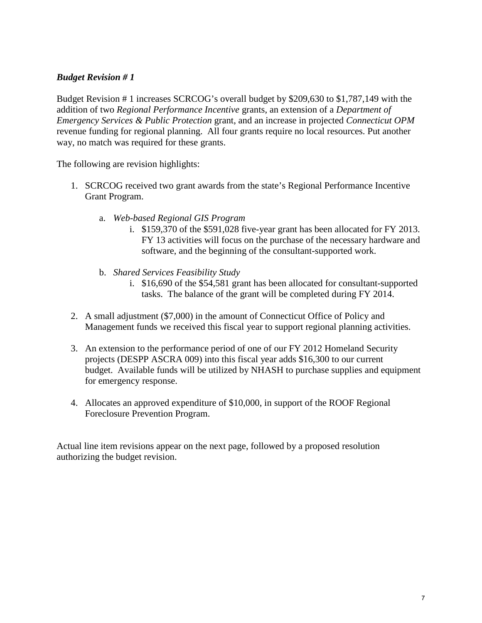# *Budget Revision # 1*

Budget Revision # 1 increases SCRCOG's overall budget by \$209,630 to \$1,787,149 with the addition of two *Regional Performance Incentive* grants, an extension of a *Department of Emergency Services & Public Protection* grant, and an increase in projected *Connecticut OPM*  revenue funding for regional planning. All four grants require no local resources. Put another way, no match was required for these grants.

The following are revision highlights:

- 1. SCRCOG received two grant awards from the state's Regional Performance Incentive Grant Program.
	- a. *Web-based Regional GIS Program* 
		- i. \$159,370 of the \$591,028 five-year grant has been allocated for FY 2013. FY 13 activities will focus on the purchase of the necessary hardware and software, and the beginning of the consultant-supported work.
	- b. *Shared Services Feasibility Study* 
		- i. \$16,690 of the \$54,581 grant has been allocated for consultant-supported tasks. The balance of the grant will be completed during FY 2014.
- 2. A small adjustment (\$7,000) in the amount of Connecticut Office of Policy and Management funds we received this fiscal year to support regional planning activities.
- 3. An extension to the performance period of one of our FY 2012 Homeland Security projects (DESPP ASCRA 009) into this fiscal year adds \$16,300 to our current budget. Available funds will be utilized by NHASH to purchase supplies and equipment for emergency response.
- 4. Allocates an approved expenditure of \$10,000, in support of the ROOF Regional Foreclosure Prevention Program.

Actual line item revisions appear on the next page, followed by a proposed resolution authorizing the budget revision.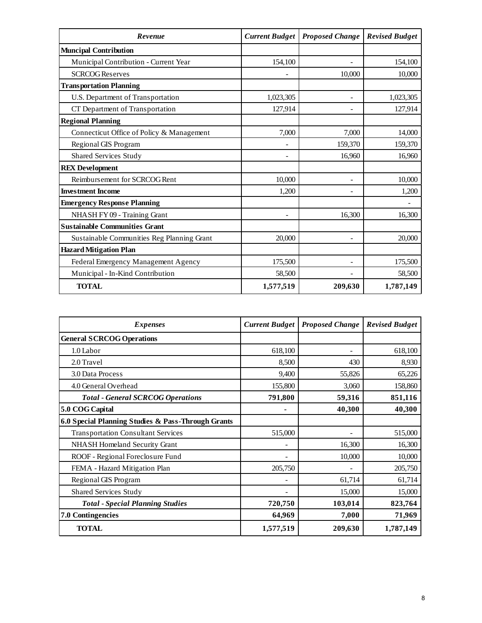| Revenue                                    | <b>Current Budget</b> | <b>Proposed Change</b> | <b>Revised Budget</b> |
|--------------------------------------------|-----------------------|------------------------|-----------------------|
| <b>Muncipal Contribution</b>               |                       |                        |                       |
| Municipal Contribution - Current Year      | 154,100               |                        | 154,100               |
| <b>SCRCOG Reserves</b>                     |                       | 10,000                 | 10,000                |
| <b>Transportation Planning</b>             |                       |                        |                       |
| U.S. Department of Transportation          | 1,023,305             |                        | 1,023,305             |
| CT Department of Transportation            | 127,914               |                        | 127,914               |
| <b>Regional Planning</b>                   |                       |                        |                       |
| Connecticut Office of Policy & Management  | 7,000                 | 7,000                  | 14,000                |
| Regional GIS Program                       |                       | 159,370                | 159,370               |
| <b>Shared Services Study</b>               |                       | 16,960                 | 16,960                |
| <b>REX Development</b>                     |                       |                        |                       |
| Reimbursement for SCRCOG Rent              | 10,000                |                        | 10,000                |
| <b>Investment Income</b>                   | 1,200                 |                        | 1,200                 |
| <b>Emergency Response Planning</b>         |                       |                        |                       |
| NHASH FY 09 - Training Grant               |                       | 16,300                 | 16,300                |
| <b>Sustainable Communities Grant</b>       |                       |                        |                       |
| Sustainable Communities Reg Planning Grant | 20,000                |                        | 20,000                |
| <b>Hazard Mitigation Plan</b>              |                       |                        |                       |
| Federal Emergency Management Agency        | 175,500               |                        | 175,500               |
| Municipal - In-Kind Contribution           | 58,500                |                        | 58,500                |
| <b>TOTAL</b>                               | 1,577,519             | 209,630                | 1,787,149             |

| <i>Expenses</i>                                    | <b>Current Budget</b> | <b>Proposed Change</b> | <b>Revised Budget</b> |
|----------------------------------------------------|-----------------------|------------------------|-----------------------|
| <b>General SCRCOG Operations</b>                   |                       |                        |                       |
| 1.0 Labor                                          | 618,100               |                        | 618,100               |
| 2.0 Travel                                         | 8,500                 | 430                    | 8,930                 |
| 3.0 Data Process                                   | 9,400                 | 55,826                 | 65,226                |
| 4.0 General Overhead                               | 155,800               | 3,060                  | 158,860               |
| <b>Total - General SCRCOG Operations</b>           | 791,800               | 59,316                 | 851,116               |
| 5.0 COG Capital                                    | ٠                     | 40,300                 | 40,300                |
| 6.0 Special Planning Studies & Pass-Through Grants |                       |                        |                       |
| <b>Transportation Consultant Services</b>          | 515,000               |                        | 515,000               |
| NHASH Homeland Security Grant                      |                       | 16,300                 | 16,300                |
| ROOF - Regional Foreclosure Fund                   |                       | 10,000                 | 10,000                |
| FEMA - Hazard Mitigation Plan                      | 205,750               |                        | 205,750               |
| Regional GIS Program                               |                       | 61,714                 | 61,714                |
| Shared Services Study                              |                       | 15,000                 | 15,000                |
| <b>Total - Special Planning Studies</b>            | 720,750               | 103,014                | 823,764               |
| <b>7.0 Contingencies</b>                           | 64,969                | 7,000                  | 71,969                |
| <b>TOTAL</b>                                       | 1,577,519             | 209,630                | 1,787,149             |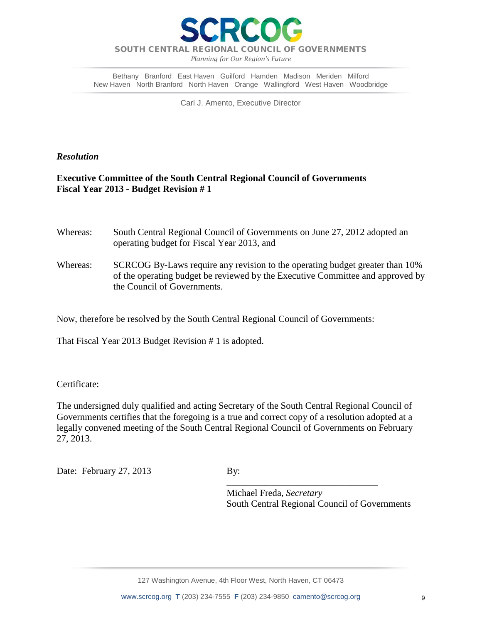

*Planning for Our Region's Future*

Bethany Branford East Haven Guilford Hamden Madison Meriden Milford New Haven North Branford North Haven Orange Wallingford West Haven Woodbridge

Carl J. Amento, Executive Director

*Resolution*

# **Executive Committee of the South Central Regional Council of Governments Fiscal Year 2013 - Budget Revision # 1**

| Whereas: | South Central Regional Council of Governments on June 27, 2012 adopted an<br>operating budget for Fiscal Year 2013, and                                        |
|----------|----------------------------------------------------------------------------------------------------------------------------------------------------------------|
| Whereas: | SCRCOG By-Laws require any revision to the operating budget greater than 10%<br>of the operating budget be reviewed by the Executive Committee and approved by |
|          | the Council of Governments.                                                                                                                                    |

Now, therefore be resolved by the South Central Regional Council of Governments:

That Fiscal Year 2013 Budget Revision # 1 is adopted.

Certificate:

The undersigned duly qualified and acting Secretary of the South Central Regional Council of Governments certifies that the foregoing is a true and correct copy of a resolution adopted at a legally convened meeting of the South Central Regional Council of Governments on February 27, 2013.

Date: February 27, 2013 By:

 $\frac{1}{2}$  ,  $\frac{1}{2}$  ,  $\frac{1}{2}$  ,  $\frac{1}{2}$  ,  $\frac{1}{2}$  ,  $\frac{1}{2}$  ,  $\frac{1}{2}$  ,  $\frac{1}{2}$  ,  $\frac{1}{2}$  ,  $\frac{1}{2}$  ,  $\frac{1}{2}$  ,  $\frac{1}{2}$  ,  $\frac{1}{2}$  ,  $\frac{1}{2}$  ,  $\frac{1}{2}$  ,  $\frac{1}{2}$  ,  $\frac{1}{2}$  ,  $\frac{1}{2}$  ,  $\frac{1$  Michael Freda, *Secretary* South Central Regional Council of Governments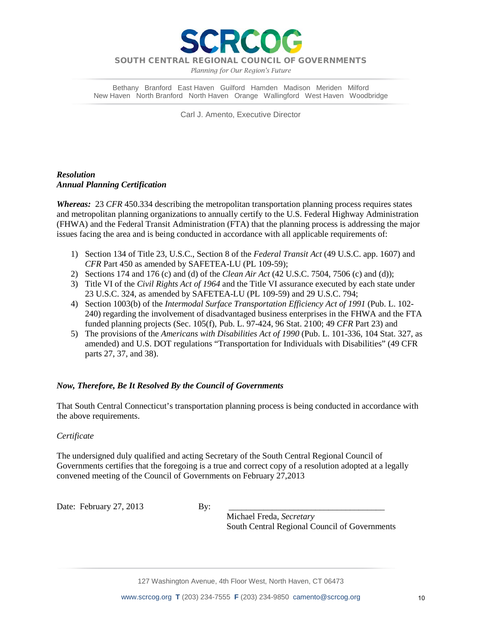

*Planning for Our Region's Future*

Bethany Branford East Haven Guilford Hamden Madison Meriden Milford New Haven North Branford North Haven Orange Wallingford West Haven Woodbridge

Carl J. Amento, Executive Director

## *Resolution Annual Planning Certification*

*Whereas:* 23 *CFR* 450.334 describing the metropolitan transportation planning process requires states and metropolitan planning organizations to annually certify to the U.S. Federal Highway Administration (FHWA) and the Federal Transit Administration (FTA) that the planning process is addressing the major issues facing the area and is being conducted in accordance with all applicable requirements of:

- 1) Section 134 of Title 23, U.S.C., Section 8 of the *Federal Transit Act* (49 U.S.C. app. 1607) and *CFR* Part 450 as amended by SAFETEA-LU (PL 109-59);
- 2) Sections 174 and 176 (c) and (d) of the *Clean Air Act* (42 U.S.C. 7504, 7506 (c) and (d));
- 3) Title VI of the *Civil Rights Act of 1964* and the Title VI assurance executed by each state under 23 U.S.C. 324, as amended by SAFETEA-LU (PL 109-59) and 29 U.S.C. 794;
- 4) Section 1003(b) of the *Intermodal Surface Transportation Efficiency Act of 1991* (Pub. L. 102- 240) regarding the involvement of disadvantaged business enterprises in the FHWA and the FTA funded planning projects (Sec. 105(f), Pub. L. 97-424, 96 Stat. 2100; 49 *CFR* Part 23) and
- 5) The provisions of the *Americans with Disabilities Act of 1990* (Pub. L. 101-336, 104 Stat. 327, as amended) and U.S. DOT regulations "Transportation for Individuals with Disabilities" (49 CFR parts 27, 37, and 38).

# *Now, Therefore, Be It Resolved By the Council of Governments*

That South Central Connecticut's transportation planning process is being conducted in accordance with the above requirements.

### *Certificate*

The undersigned duly qualified and acting Secretary of the South Central Regional Council of Governments certifies that the foregoing is a true and correct copy of a resolution adopted at a legally convened meeting of the Council of Governments on February 27,2013

Date: February  $27, 2013$  By:

 Michael Freda, *Secretary* South Central Regional Council of Governments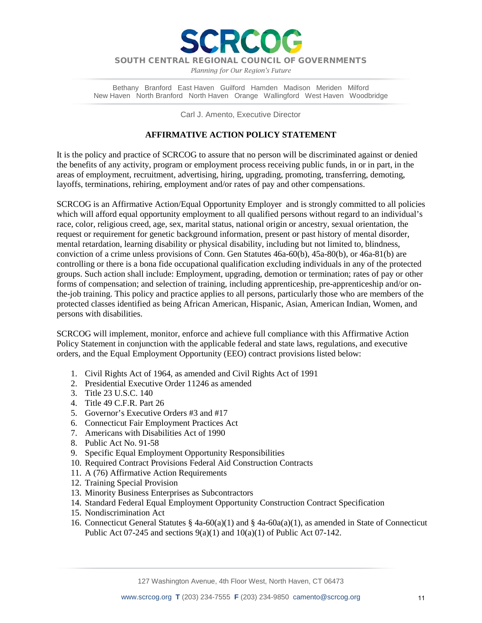

RCO

*Planning for Our Region's Future*

Bethany Branford East Haven Guilford Hamden Madison Meriden Milford New Haven North Branford North Haven Orange Wallingford West Haven Woodbridge

Carl J. Amento, Executive Director

### **AFFIRMATIVE ACTION POLICY STATEMENT**

It is the policy and practice of SCRCOG to assure that no person will be discriminated against or denied the benefits of any activity, program or employment process receiving public funds, in or in part, in the areas of employment, recruitment, advertising, hiring, upgrading, promoting, transferring, demoting, layoffs, terminations, rehiring, employment and/or rates of pay and other compensations.

SCRCOG is an Affirmative Action/Equal Opportunity Employer and is strongly committed to all policies which will afford equal opportunity employment to all qualified persons without regard to an individual's race, color, religious creed, age, sex, marital status, national origin or ancestry, sexual orientation, the request or requirement for genetic background information, present or past history of mental disorder, mental retardation, learning disability or physical disability, including but not limited to, blindness, conviction of a crime unless provisions of Conn. Gen Statutes 46a-60(b), 45a-80(b), or 46a-81(b) are controlling or there is a bona fide occupational qualification excluding individuals in any of the protected groups. Such action shall include: Employment, upgrading, demotion or termination; rates of pay or other forms of compensation; and selection of training, including apprenticeship, pre-apprenticeship and/or onthe-job training. This policy and practice applies to all persons, particularly those who are members of the protected classes identified as being African American, Hispanic, Asian, American Indian, Women, and persons with disabilities.

SCRCOG will implement, monitor, enforce and achieve full compliance with this Affirmative Action Policy Statement in conjunction with the applicable federal and state laws, regulations, and executive orders, and the Equal Employment Opportunity (EEO) contract provisions listed below:

- 1. Civil Rights Act of 1964, as amended and Civil Rights Act of 1991
- 2. Presidential Executive Order 11246 as amended
- 3. Title 23 U.S.C. 140
- 4. Title 49 C.F.R. Part 26
- 5. Governor's Executive Orders #3 and #17
- 6. Connecticut Fair Employment Practices Act
- 7. Americans with Disabilities Act of 1990
- 8. Public Act No. 91-58
- 9. Specific Equal Employment Opportunity Responsibilities
- 10. Required Contract Provisions Federal Aid Construction Contracts
- 11. A (76) Affirmative Action Requirements
- 12. Training Special Provision
- 13. Minority Business Enterprises as Subcontractors
- 14. Standard Federal Equal Employment Opportunity Construction Contract Specification
- 15. Nondiscrimination Act
- 16. Connecticut General Statutes § 4a-60(a)(1) and § 4a-60a(a)(1), as amended in State of Connecticut Public Act 07-245 and sections  $9(a)(1)$  and  $10(a)(1)$  of Public Act 07-142.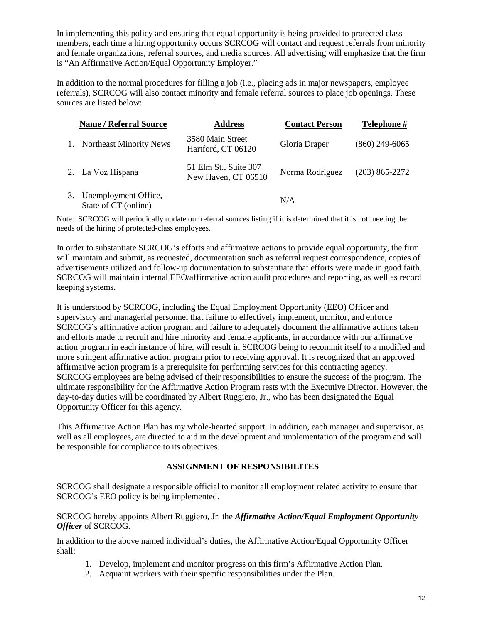In implementing this policy and ensuring that equal opportunity is being provided to protected class members, each time a hiring opportunity occurs SCRCOG will contact and request referrals from minority and female organizations, referral sources, and media sources. All advertising will emphasize that the firm is "An Affirmative Action/Equal Opportunity Employer."

In addition to the normal procedures for filling a job (i.e., placing ads in major newspapers, employee referrals), SCRCOG will also contact minority and female referral sources to place job openings. These sources are listed below:

|    | <b>Name / Referral Source</b>                | <b>Address</b>                               | <b>Contact Person</b> | Telephone #        |
|----|----------------------------------------------|----------------------------------------------|-----------------------|--------------------|
|    | 1. Northeast Minority News                   | 3580 Main Street<br>Hartford, CT 06120       | Gloria Draper         | $(860)$ 249-6065   |
|    | 2. La Voz Hispana                            | 51 Elm St., Suite 307<br>New Haven, CT 06510 | Norma Rodriguez       | $(203) 865 - 2272$ |
| 3. | Unemployment Office,<br>State of CT (online) |                                              | N/A                   |                    |

Note: SCRCOG will periodically update our referral sources listing if it is determined that it is not meeting the needs of the hiring of protected-class employees.

In order to substantiate SCRCOG's efforts and affirmative actions to provide equal opportunity, the firm will maintain and submit, as requested, documentation such as referral request correspondence, copies of advertisements utilized and follow-up documentation to substantiate that efforts were made in good faith. SCRCOG will maintain internal EEO/affirmative action audit procedures and reporting, as well as record keeping systems.

It is understood by SCRCOG, including the Equal Employment Opportunity (EEO) Officer and supervisory and managerial personnel that failure to effectively implement, monitor, and enforce SCRCOG's affirmative action program and failure to adequately document the affirmative actions taken and efforts made to recruit and hire minority and female applicants, in accordance with our affirmative action program in each instance of hire, will result in SCRCOG being to recommit itself to a modified and more stringent affirmative action program prior to receiving approval. It is recognized that an approved affirmative action program is a prerequisite for performing services for this contracting agency. SCRCOG employees are being advised of their responsibilities to ensure the success of the program. The ultimate responsibility for the Affirmative Action Program rests with the Executive Director. However, the day-to-day duties will be coordinated by Albert Ruggiero, Jr., who has been designated the Equal Opportunity Officer for this agency.

This Affirmative Action Plan has my whole-hearted support. In addition, each manager and supervisor, as well as all employees, are directed to aid in the development and implementation of the program and will be responsible for compliance to its objectives.

# **ASSIGNMENT OF RESPONSIBILITES**

SCRCOG shall designate a responsible official to monitor all employment related activity to ensure that SCRCOG's EEO policy is being implemented.

### SCRCOG hereby appoints Albert Ruggiero, Jr. the *Affirmative Action/Equal Employment Opportunity Officer* of SCRCOG.

In addition to the above named individual's duties, the Affirmative Action/Equal Opportunity Officer shall:

- 1. Develop, implement and monitor progress on this firm's Affirmative Action Plan.
- 2. Acquaint workers with their specific responsibilities under the Plan.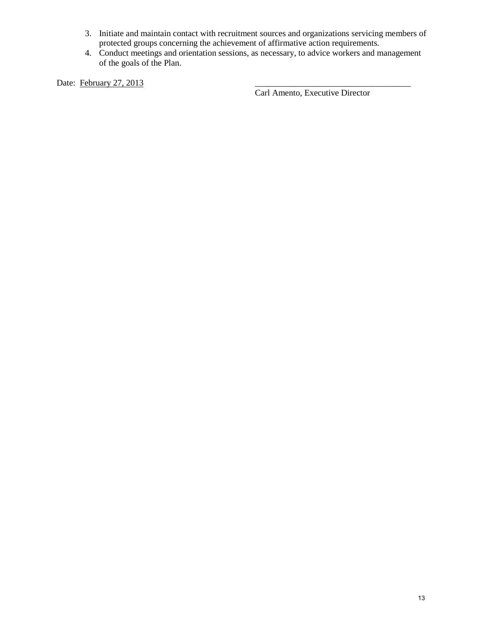- 3. Initiate and maintain contact with recruitment sources and organizations servicing members of protected groups concerning the achievement of affirmative action requirements.
- 4. Conduct meetings and orientation sessions, as necessary, to advice workers and management of the goals of the Plan.

Date: February 27, 2013

Carl Amento, Executive Director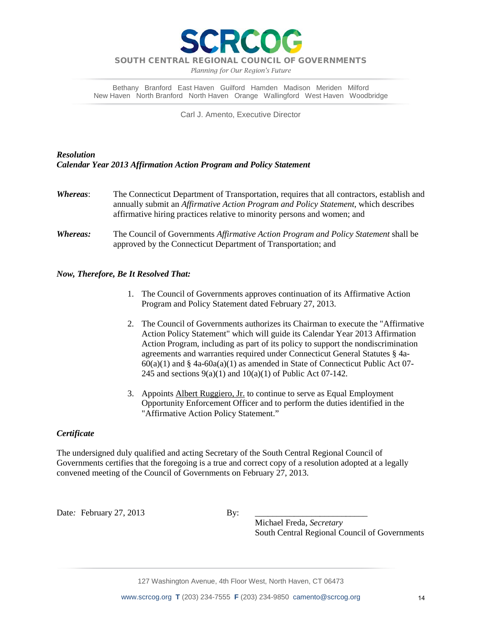

*Planning for Our Region's Future*

Bethany Branford East Haven Guilford Hamden Madison Meriden Milford New Haven North Branford North Haven Orange Wallingford West Haven Woodbridge

Carl J. Amento, Executive Director

# *Resolution Calendar Year 2013 Affirmation Action Program and Policy Statement*

*Whereas*: The Connecticut Department of Transportation, requires that all contractors, establish and annually submit an *Affirmative Action Program and Policy Statement*, which describes affirmative hiring practices relative to minority persons and women; and *Whereas:* The Council of Governments *Affirmative Action Program and Policy Statement* shall be approved by the Connecticut Department of Transportation; and

### *Now, Therefore, Be It Resolved That:*

- 1. The Council of Governments approves continuation of its Affirmative Action Program and Policy Statement dated February 27, 2013.
- 2. The Council of Governments authorizes its Chairman to execute the "Affirmative Action Policy Statement" which will guide its Calendar Year 2013 Affirmation Action Program, including as part of its policy to support the nondiscrimination agreements and warranties required under Connecticut General Statutes § 4a- $60(a)(1)$  and § 4a- $60a(a)(1)$  as amended in State of Connecticut Public Act 07-245 and sections  $9(a)(1)$  and  $10(a)(1)$  of Public Act 07-142.
- 3. Appoints Albert Ruggiero, Jr. to continue to serve as Equal Employment Opportunity Enforcement Officer and to perform the duties identified in the "Affirmative Action Policy Statement."

### *Certificate*

The undersigned duly qualified and acting Secretary of the South Central Regional Council of Governments certifies that the foregoing is a true and correct copy of a resolution adopted at a legally convened meeting of the Council of Governments on February 27, 2013.

Date: February 27, 2013 By:

 Michael Freda, *Secretary* South Central Regional Council of Governments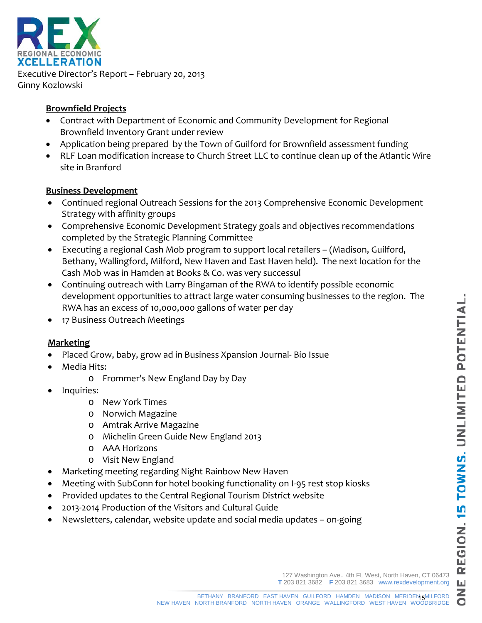$\bullet$ 



Executive Director's Report – February 20, 2013 Ginny Kozlowski

# **Brownfield Projects**

- Contract with Department of Economic and Community Development for Regional Brownfield Inventory Grant under review
- Application being prepared by the Town of Guilford for Brownfield assessment funding
- RLF Loan modification increase to Church Street LLC to continue clean up of the Atlantic Wire site in Branford

# **Business Development**

- Continued regional Outreach Sessions for the 2013 Comprehensive Economic Development Strategy with affinity groups
- Comprehensive Economic Development Strategy goals and objectives recommendations completed by the Strategic Planning Committee
- Executing a regional Cash Mob program to support local retailers (Madison, Guilford, Bethany, Wallingford, Milford, New Haven and East Haven held). The next location for the Cash Mob was in Hamden at Books & Co. was very successul
- Continuing outreach with Larry Bingaman of the RWA to identify possible economic development opportunities to attract large water consuming businesses to the region. The RWA has an excess of 10,000,000 gallons of water per day
- 17 Business Outreach Meetings

# **Marketing**

- Placed Grow, baby, grow ad in Business Xpansion Journal- Bio Issue
- Media Hits:
	- o Frommer's New England Day by Day
- Inquiries:
	- o New York Times
	- o Norwich Magazine
	- o Amtrak Arrive Magazine
	- o Michelin Green Guide New England 2013
	- o AAA Horizons
	- o Visit New England
- Marketing meeting regarding Night Rainbow New Haven
- Meeting with SubConn for hotel booking functionality on I-95 rest stop kiosks
- Provided updates to the Central Regional Tourism District website
- 2013-2014 Production of the Visitors and Cultural Guide
- Newsletters, calendar, website update and social media updates on-going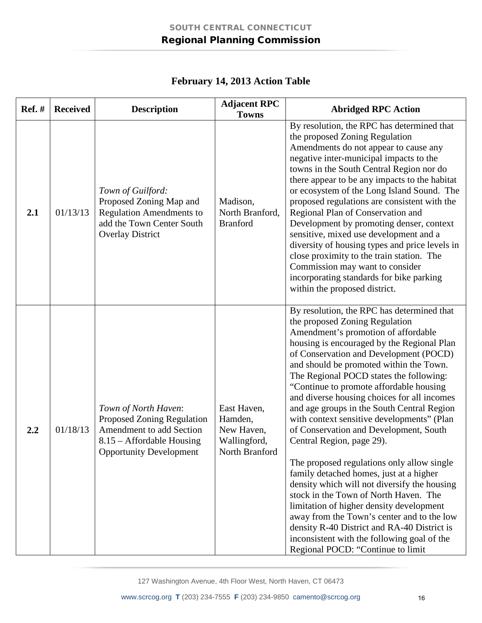| <b>Ref.</b> # | <b>Received</b> | <b>Description</b>                                                                                                                                   | <b>Adjacent RPC</b><br><b>Towns</b>                                    | <b>Abridged RPC Action</b>                                                                                                                                                                                                                                                                                                                                                                                                                                                                                                                                                                                                                                                                                                                                                                                                                                                                                                                                                    |
|---------------|-----------------|------------------------------------------------------------------------------------------------------------------------------------------------------|------------------------------------------------------------------------|-------------------------------------------------------------------------------------------------------------------------------------------------------------------------------------------------------------------------------------------------------------------------------------------------------------------------------------------------------------------------------------------------------------------------------------------------------------------------------------------------------------------------------------------------------------------------------------------------------------------------------------------------------------------------------------------------------------------------------------------------------------------------------------------------------------------------------------------------------------------------------------------------------------------------------------------------------------------------------|
| 2.1           | 01/13/13        | Town of Guilford:<br>Proposed Zoning Map and<br><b>Regulation Amendments to</b><br>add the Town Center South<br><b>Overlay District</b>              | Madison,<br>North Branford,<br><b>Branford</b>                         | By resolution, the RPC has determined that<br>the proposed Zoning Regulation<br>Amendments do not appear to cause any<br>negative inter-municipal impacts to the<br>towns in the South Central Region nor do<br>there appear to be any impacts to the habitat<br>or ecosystem of the Long Island Sound. The<br>proposed regulations are consistent with the<br>Regional Plan of Conservation and<br>Development by promoting denser, context<br>sensitive, mixed use development and a<br>diversity of housing types and price levels in<br>close proximity to the train station. The<br>Commission may want to consider<br>incorporating standards for bike parking<br>within the proposed district.                                                                                                                                                                                                                                                                         |
| 2.2           | 01/18/13        | Town of North Haven:<br><b>Proposed Zoning Regulation</b><br>Amendment to add Section<br>8.15 – Affordable Housing<br><b>Opportunity Development</b> | East Haven,<br>Hamden,<br>New Haven,<br>Wallingford,<br>North Branford | By resolution, the RPC has determined that<br>the proposed Zoning Regulation<br>Amendment's promotion of affordable<br>housing is encouraged by the Regional Plan<br>of Conservation and Development (POCD)<br>and should be promoted within the Town.<br>The Regional POCD states the following:<br>"Continue to promote affordable housing<br>and diverse housing choices for all incomes<br>and age groups in the South Central Region<br>with context sensitive developments" (Plan<br>of Conservation and Development, South<br>Central Region, page 29).<br>The proposed regulations only allow single<br>family detached homes, just at a higher<br>density which will not diversify the housing<br>stock in the Town of North Haven. The<br>limitation of higher density development<br>away from the Town's center and to the low<br>density R-40 District and RA-40 District is<br>inconsistent with the following goal of the<br>Regional POCD: "Continue to limit |

# **February 14, 2013 Action Table**